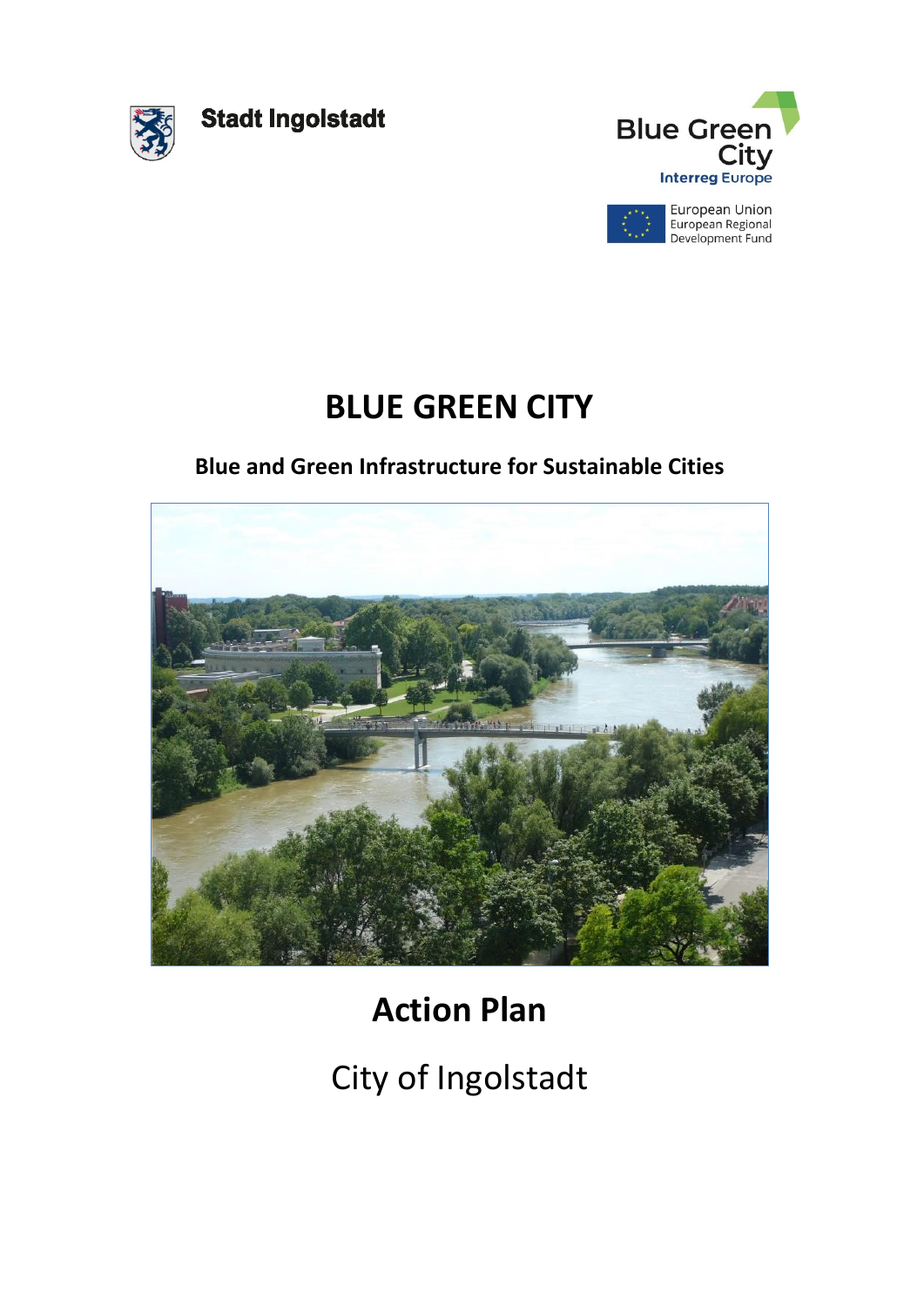

**Stadt Ingolstadt** 





## **BLUE GREEN CITY**

## **Blue and Green Infrastructure for Sustainable Cities**



# **Action Plan**

# City of Ingolstadt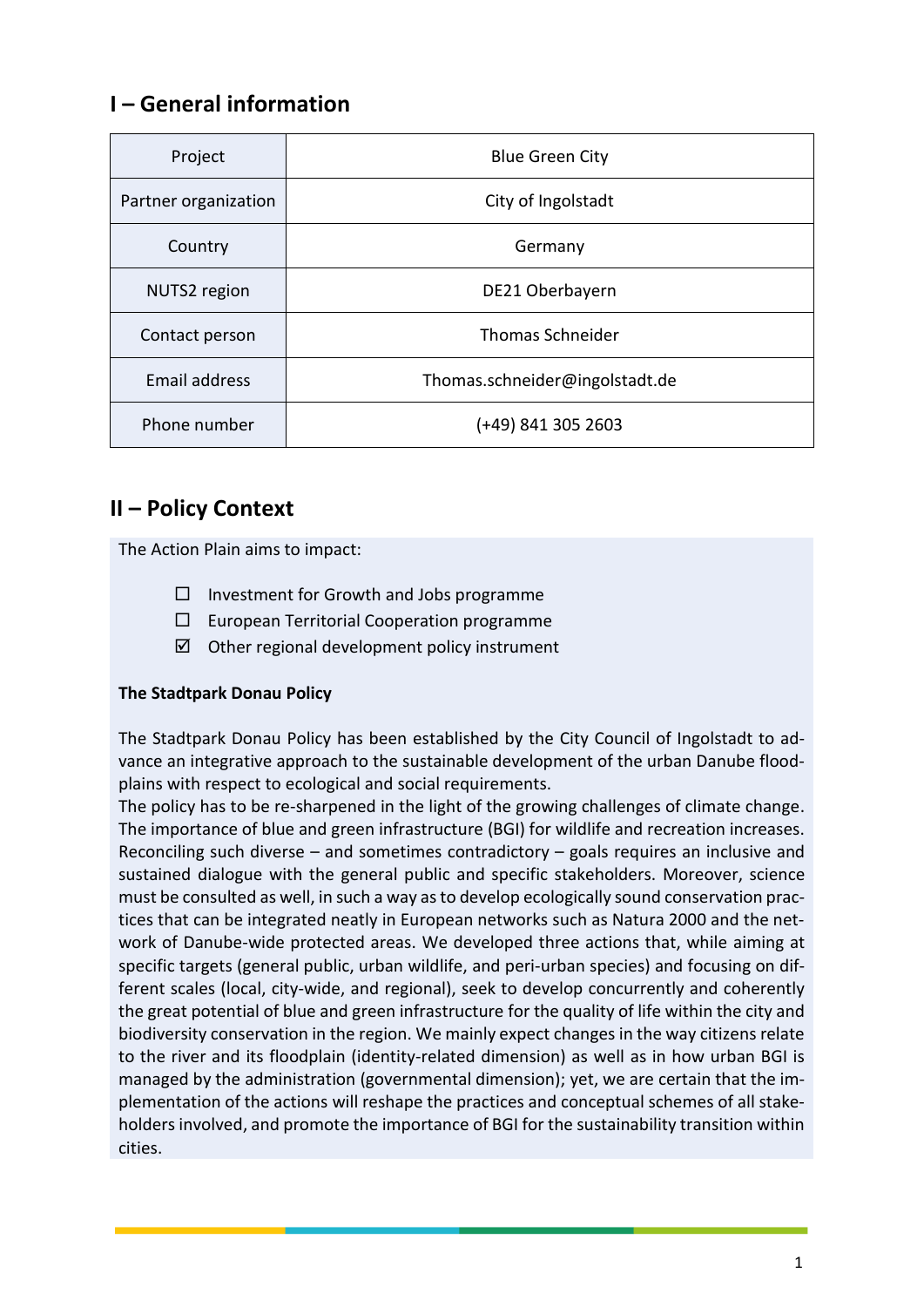## **I – General information**

| Project              | <b>Blue Green City</b>         |
|----------------------|--------------------------------|
| Partner organization | City of Ingolstadt             |
| Country              | Germany                        |
| NUTS2 region         | DE21 Oberbayern                |
| Contact person       | <b>Thomas Schneider</b>        |
| <b>Email address</b> | Thomas.schneider@ingolstadt.de |
| Phone number         | (+49) 841 305 2603             |

### **II – Policy Context**

The Action Plain aims to impact:

- $\Box$  Investment for Growth and Jobs programme
- $\square$  European Territorial Cooperation programme
- $\boxtimes$  Other regional development policy instrument

#### **The Stadtpark Donau Policy**

The Stadtpark Donau Policy has been established by the City Council of Ingolstadt to advance an integrative approach to the sustainable development of the urban Danube floodplains with respect to ecological and social requirements.

The policy has to be re-sharpened in the light of the growing challenges of climate change. The importance of blue and green infrastructure (BGI) for wildlife and recreation increases. Reconciling such diverse – and sometimes contradictory – goals requires an inclusive and sustained dialogue with the general public and specific stakeholders. Moreover, science must be consulted as well, in such a way as to develop ecologically sound conservation practices that can be integrated neatly in European networks such as Natura 2000 and the network of Danube-wide protected areas. We developed three actions that, while aiming at specific targets (general public, urban wildlife, and peri-urban species) and focusing on different scales (local, city-wide, and regional), seek to develop concurrently and coherently the great potential of blue and green infrastructure for the quality of life within the city and biodiversity conservation in the region. We mainly expect changes in the way citizens relate to the river and its floodplain (identity-related dimension) as well as in how urban BGI is managed by the administration (governmental dimension); yet, we are certain that the implementation of the actions will reshape the practices and conceptual schemes of all stakeholders involved, and promote the importance of BGI for the sustainability transition within cities.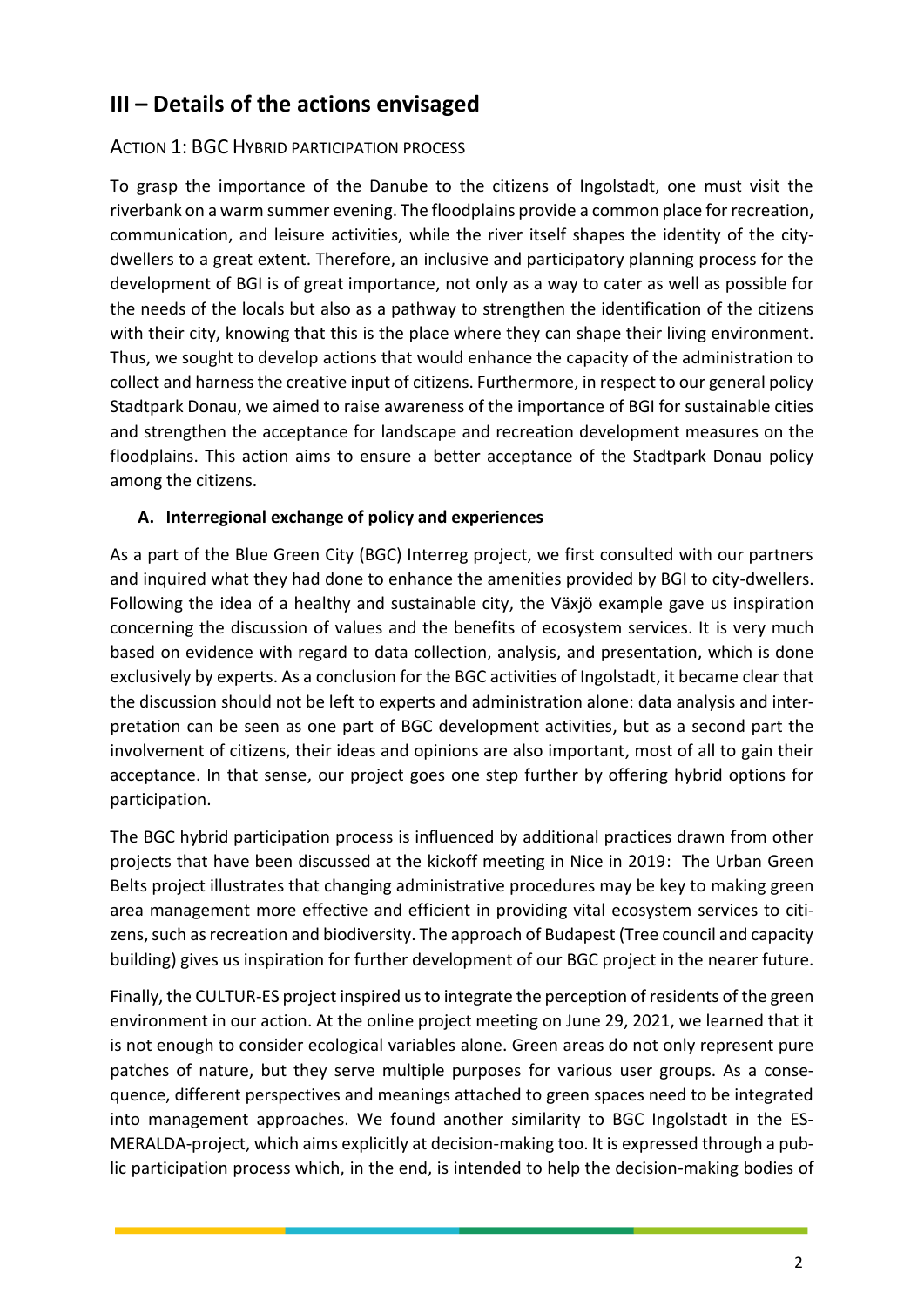## **III – Details of the actions envisaged**

#### ACTION 1: BGC HYBRID PARTICIPATION PROCESS

To grasp the importance of the Danube to the citizens of Ingolstadt, one must visit the riverbank on a warm summer evening. The floodplains provide a common place for recreation, communication, and leisure activities, while the river itself shapes the identity of the citydwellers to a great extent. Therefore, an inclusive and participatory planning process for the development of BGI is of great importance, not only as a way to cater as well as possible for the needs of the locals but also as a pathway to strengthen the identification of the citizens with their city, knowing that this is the place where they can shape their living environment. Thus, we sought to develop actions that would enhance the capacity of the administration to collect and harness the creative input of citizens. Furthermore, in respect to our general policy Stadtpark Donau, we aimed to raise awareness of the importance of BGI for sustainable cities and strengthen the acceptance for landscape and recreation development measures on the floodplains. This action aims to ensure a better acceptance of the Stadtpark Donau policy among the citizens.

#### **A. Interregional exchange of policy and experiences**

As a part of the Blue Green City (BGC) Interreg project, we first consulted with our partners and inquired what they had done to enhance the amenities provided by BGI to city-dwellers. Following the idea of a healthy and sustainable city, the Växjö example gave us inspiration concerning the discussion of values and the benefits of ecosystem services. It is very much based on evidence with regard to data collection, analysis, and presentation, which is done exclusively by experts. As a conclusion for the BGC activities of Ingolstadt, it became clear that the discussion should not be left to experts and administration alone: data analysis and interpretation can be seen as one part of BGC development activities, but as a second part the involvement of citizens, their ideas and opinions are also important, most of all to gain their acceptance. In that sense, our project goes one step further by offering hybrid options for participation.

The BGC hybrid participation process is influenced by additional practices drawn from other projects that have been discussed at the kickoff meeting in Nice in 2019: The Urban Green Belts project illustrates that changing administrative procedures may be key to making green area management more effective and efficient in providing vital ecosystem services to citizens, such as recreation and biodiversity. The approach of Budapest (Tree council and capacity building) gives us inspiration for further development of our BGC project in the nearer future.

Finally, the CULTUR-ES project inspired us to integrate the perception of residents of the green environment in our action. At the online project meeting on June 29, 2021, we learned that it is not enough to consider ecological variables alone. Green areas do not only represent pure patches of nature, but they serve multiple purposes for various user groups. As a consequence, different perspectives and meanings attached to green spaces need to be integrated into management approaches. We found another similarity to BGC Ingolstadt in the ES-MERALDA-project, which aims explicitly at decision-making too. It is expressed through a public participation process which, in the end, is intended to help the decision-making bodies of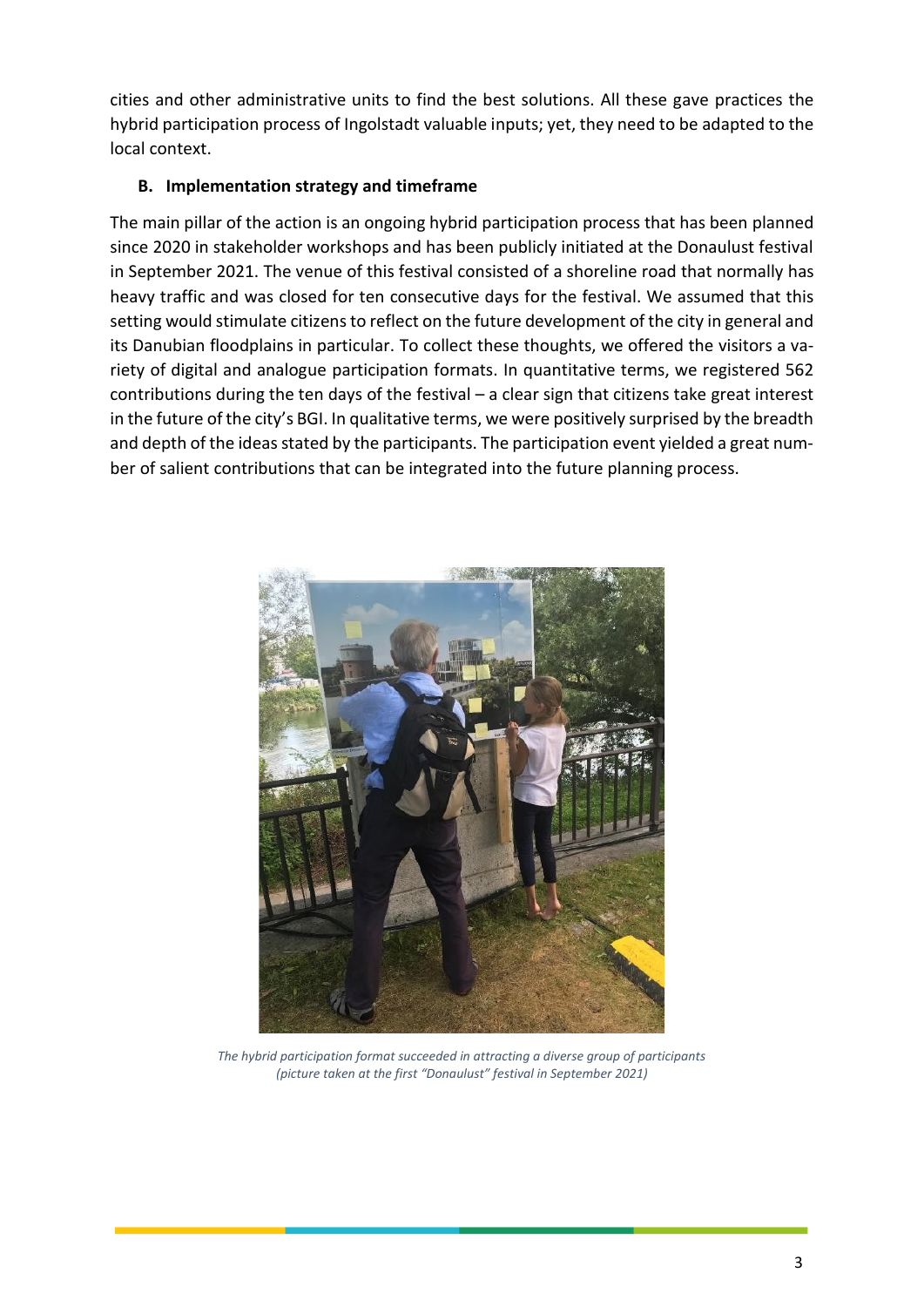cities and other administrative units to find the best solutions. All these gave practices the hybrid participation process of Ingolstadt valuable inputs; yet, they need to be adapted to the local context.

#### **B. Implementation strategy and timeframe**

The main pillar of the action is an ongoing hybrid participation process that has been planned since 2020 in stakeholder workshops and has been publicly initiated at the Donaulust festival in September 2021. The venue of this festival consisted of a shoreline road that normally has heavy traffic and was closed for ten consecutive days for the festival. We assumed that this setting would stimulate citizens to reflect on the future development of the city in general and its Danubian floodplains in particular. To collect these thoughts, we offered the visitors a variety of digital and analogue participation formats. In quantitative terms, we registered 562 contributions during the ten days of the festival – a clear sign that citizens take great interest in the future of the city's BGI. In qualitative terms, we were positively surprised by the breadth and depth of the ideas stated by the participants. The participation event yielded a great number of salient contributions that can be integrated into the future planning process.



*The hybrid participation format succeeded in attracting a diverse group of participants (picture taken at the first "Donaulust" festival in September 2021)*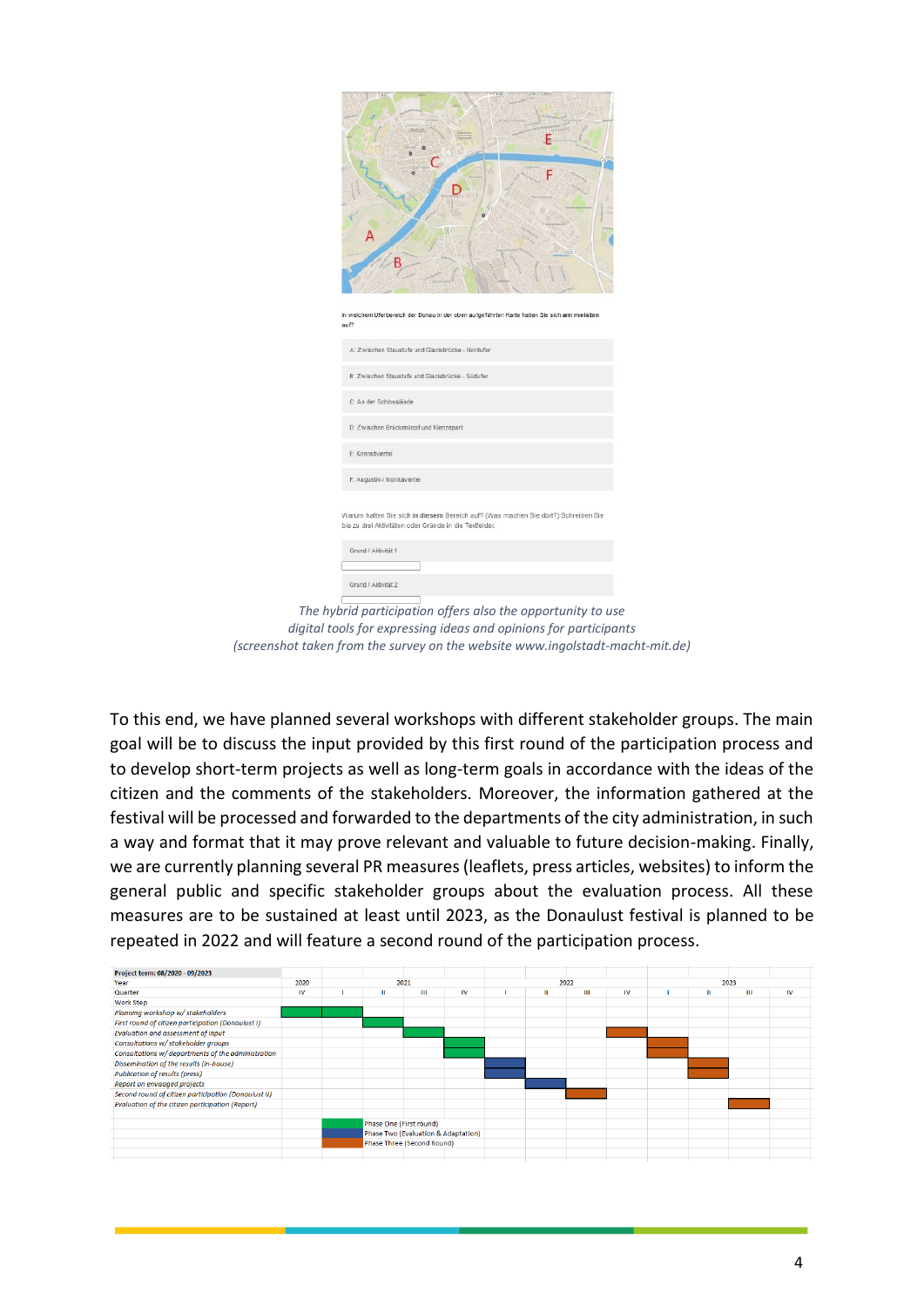| In welchem Uferbereich der Donau in der oben aufgeführten Karte halten Sie sich am meisten<br>auf?                                          |
|---------------------------------------------------------------------------------------------------------------------------------------------|
| A: Zwischen Staustufe und Glacisbrücke - Nordufer<br>B: Zwischen Staustufe und Glacisbrücke - Südufer                                       |
| C: An der Schlosslände                                                                                                                      |
| D: Zwischen Brückenkopf und Klenzepark                                                                                                      |
| E: Konradviertel                                                                                                                            |
| F: Augustin-/ Monikaviertel                                                                                                                 |
| Warum halten Sie sich in diesem Bereich auf? (Was machen Sie dort?) Schreiben Sie<br>bis zu drei Aktivitäten oder Gründe in die Textfelder. |
| Grund / Aktivität 1                                                                                                                         |
| Grund / Aktivität 2                                                                                                                         |
| The hybrid participation offers also the opportunity to use                                                                                 |

*digital tools for expressing ideas and opinions for participants (screenshot taken from the survey on the website www.ingolstadt-macht-mit.de)*

To this end, we have planned several workshops with different stakeholder groups. The main goal will be to discuss the input provided by this first round of the participation process and to develop short-term projects as well as long-term goals in accordance with the ideas of the citizen and the comments of the stakeholders. Moreover, the information gathered at the festival will be processed and forwarded to the departments of the city administration, in such a way and format that it may prove relevant and valuable to future decision-making. Finally, we are currently planning several PR measures (leaflets, press articles, websites) to inform the general public and specific stakeholder groups about the evaluation process. All these measures are to be sustained at least until 2023, as the Donaulust festival is planned to be repeated in 2022 and will feature a second round of the participation process.

| Project term: 08/2020 - 09/2023                      |      |                            |                         |                                     |           |      |   |   |           |      |   |   |           |
|------------------------------------------------------|------|----------------------------|-------------------------|-------------------------------------|-----------|------|---|---|-----------|------|---|---|-----------|
| Year                                                 | 2020 | 2021                       |                         |                                     |           | 2022 |   |   |           | 2023 |   |   |           |
| Quarter                                              | IV   |                            | Ш                       | Ш                                   | <b>IV</b> |      | ш | Ш | <b>IV</b> |      | Ш | Ш | <b>IV</b> |
| <b>Work Step</b>                                     |      |                            |                         |                                     |           |      |   |   |           |      |   |   |           |
| Planning workshop w/ stakeholders                    |      |                            |                         |                                     |           |      |   |   |           |      |   |   |           |
| First round of citizen participation (Donaulust I)   |      |                            |                         |                                     |           |      |   |   |           |      |   |   |           |
| Evaluation and assessment of input                   |      |                            |                         |                                     |           |      |   |   |           |      |   |   |           |
| Consultations w/ stakeholder groups                  |      |                            |                         |                                     |           |      |   |   |           |      |   |   |           |
| Consultations w/ departments of the administration   |      |                            |                         |                                     |           |      |   |   |           |      |   |   |           |
| Dissemination of the results (in-house)              |      |                            |                         |                                     |           |      |   |   |           |      |   |   |           |
| <b>Publication of results (press)</b>                |      |                            |                         |                                     |           |      |   |   |           |      |   |   |           |
| Report on envisaged projects                         |      |                            |                         |                                     |           |      |   |   |           |      |   |   |           |
| Second round of citizen participation (Donaulust II) |      |                            |                         |                                     |           |      |   |   |           |      |   |   |           |
| Evaluation of the citizen participation (Report)     |      |                            |                         |                                     |           |      |   |   |           |      |   |   |           |
|                                                      |      |                            |                         |                                     |           |      |   |   |           |      |   |   |           |
|                                                      |      |                            | Phase One (First round) |                                     |           |      |   |   |           |      |   |   |           |
|                                                      |      |                            |                         | Phase Two (Evaluation & Adaptation) |           |      |   |   |           |      |   |   |           |
|                                                      |      | Phase Three (Second Round) |                         |                                     |           |      |   |   |           |      |   |   |           |
|                                                      |      |                            |                         |                                     |           |      |   |   |           |      |   |   |           |
|                                                      |      |                            |                         |                                     |           |      |   |   |           |      |   |   |           |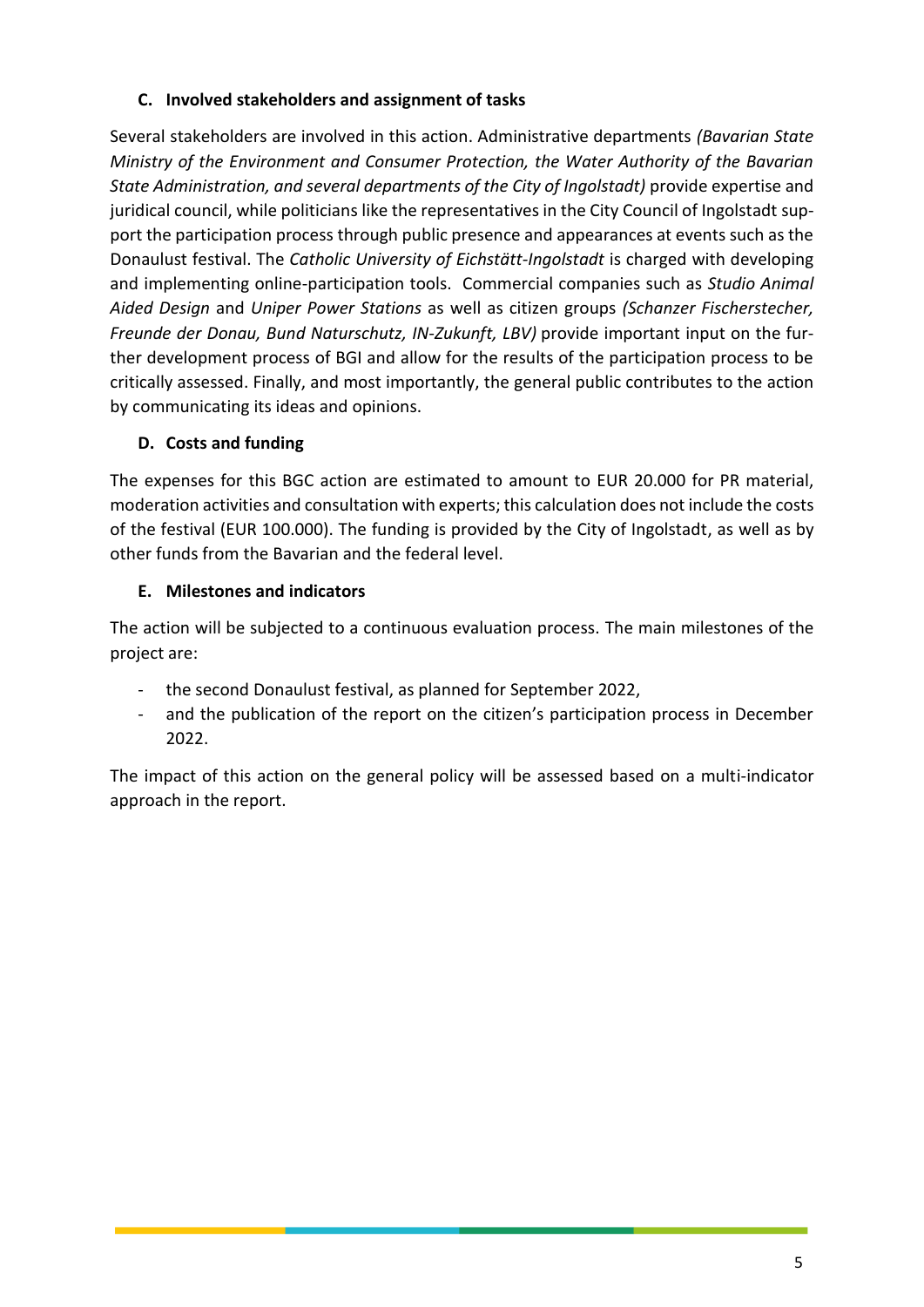#### **C. Involved stakeholders and assignment of tasks**

Several stakeholders are involved in this action. Administrative departments *(Bavarian State Ministry of the Environment and Consumer Protection, the Water Authority of the Bavarian State Administration, and several departments of the City of Ingolstadt)* provide expertise and juridical council, while politicians like the representatives in the City Council of Ingolstadt support the participation process through public presence and appearances at events such as the Donaulust festival. The *Catholic University of Eichstätt-Ingolstadt* is charged with developing and implementing online-participation tools. Commercial companies such as *Studio Animal Aided Design* and *Uniper Power Stations* as well as citizen groups *(Schanzer Fischerstecher, Freunde der Donau, Bund Naturschutz, IN-Zukunft, LBV)* provide important input on the further development process of BGI and allow for the results of the participation process to be critically assessed. Finally, and most importantly, the general public contributes to the action by communicating its ideas and opinions.

#### **D. Costs and funding**

The expenses for this BGC action are estimated to amount to EUR 20.000 for PR material, moderation activities and consultation with experts; this calculation does not include the costs of the festival (EUR 100.000). The funding is provided by the City of Ingolstadt, as well as by other funds from the Bavarian and the federal level.

#### **E. Milestones and indicators**

The action will be subjected to a continuous evaluation process. The main milestones of the project are:

- the second Donaulust festival, as planned for September 2022,
- and the publication of the report on the citizen's participation process in December 2022.

The impact of this action on the general policy will be assessed based on a multi-indicator approach in the report.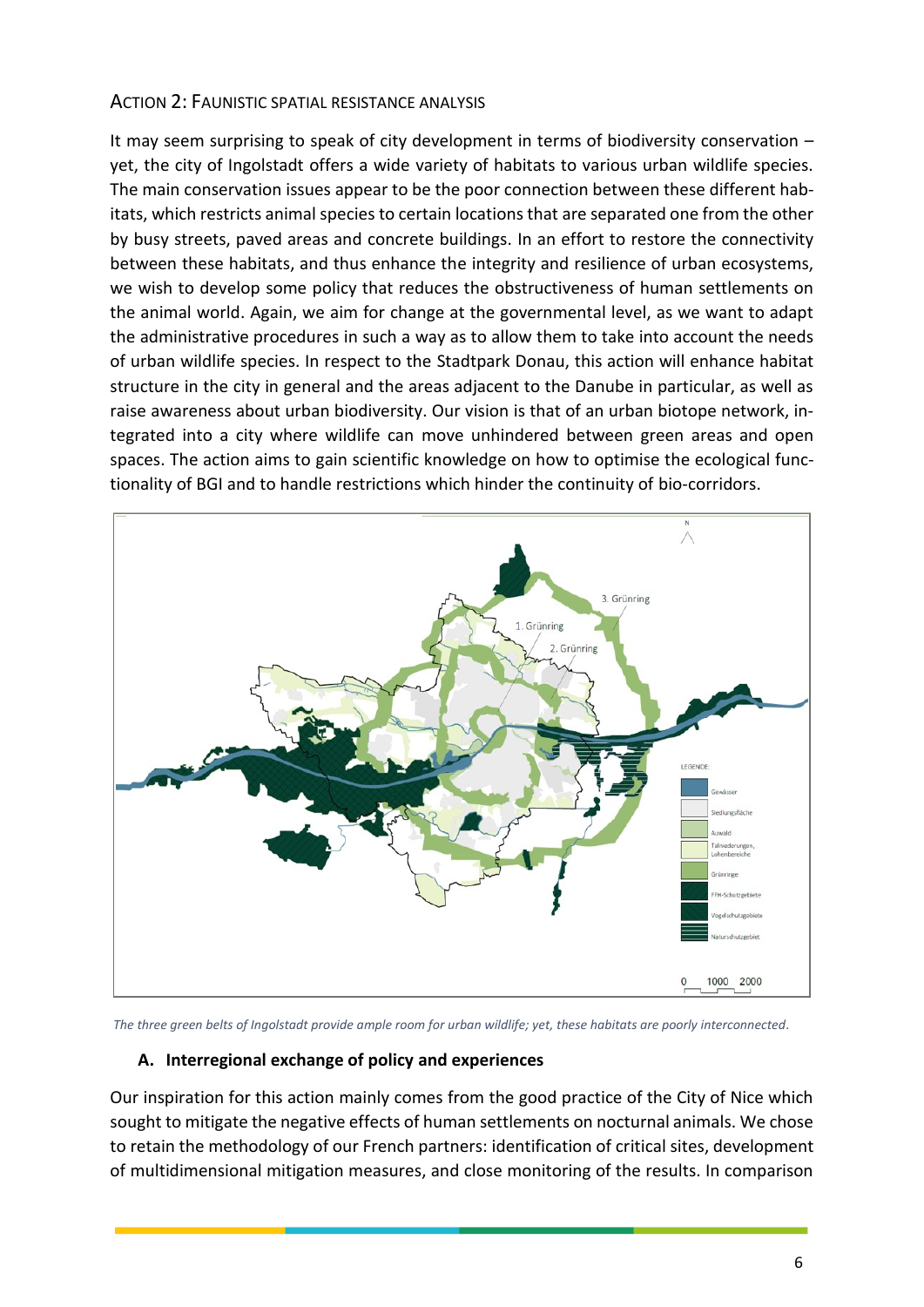#### ACTION 2: FAUNISTIC SPATIAL RESISTANCE ANALYSIS

It may seem surprising to speak of city development in terms of biodiversity conservation – yet, the city of Ingolstadt offers a wide variety of habitats to various urban wildlife species. The main conservation issues appear to be the poor connection between these different habitats, which restricts animal species to certain locationsthat are separated one from the other by busy streets, paved areas and concrete buildings. In an effort to restore the connectivity between these habitats, and thus enhance the integrity and resilience of urban ecosystems, we wish to develop some policy that reduces the obstructiveness of human settlements on the animal world. Again, we aim for change at the governmental level, as we want to adapt the administrative procedures in such a way as to allow them to take into account the needs of urban wildlife species. In respect to the Stadtpark Donau, this action will enhance habitat structure in the city in general and the areas adjacent to the Danube in particular, as well as raise awareness about urban biodiversity. Our vision is that of an urban biotope network, integrated into a city where wildlife can move unhindered between green areas and open spaces. The action aims to gain scientific knowledge on how to optimise the ecological functionality of BGI and to handle restrictions which hinder the continuity of bio-corridors.



*The three green belts of Ingolstadt provide ample room for urban wildlife; yet, these habitats are poorly interconnected.*

#### **A. Interregional exchange of policy and experiences**

Our inspiration for this action mainly comes from the good practice of the City of Nice which sought to mitigate the negative effects of human settlements on nocturnal animals. We chose to retain the methodology of our French partners: identification of critical sites, development of multidimensional mitigation measures, and close monitoring of the results. In comparison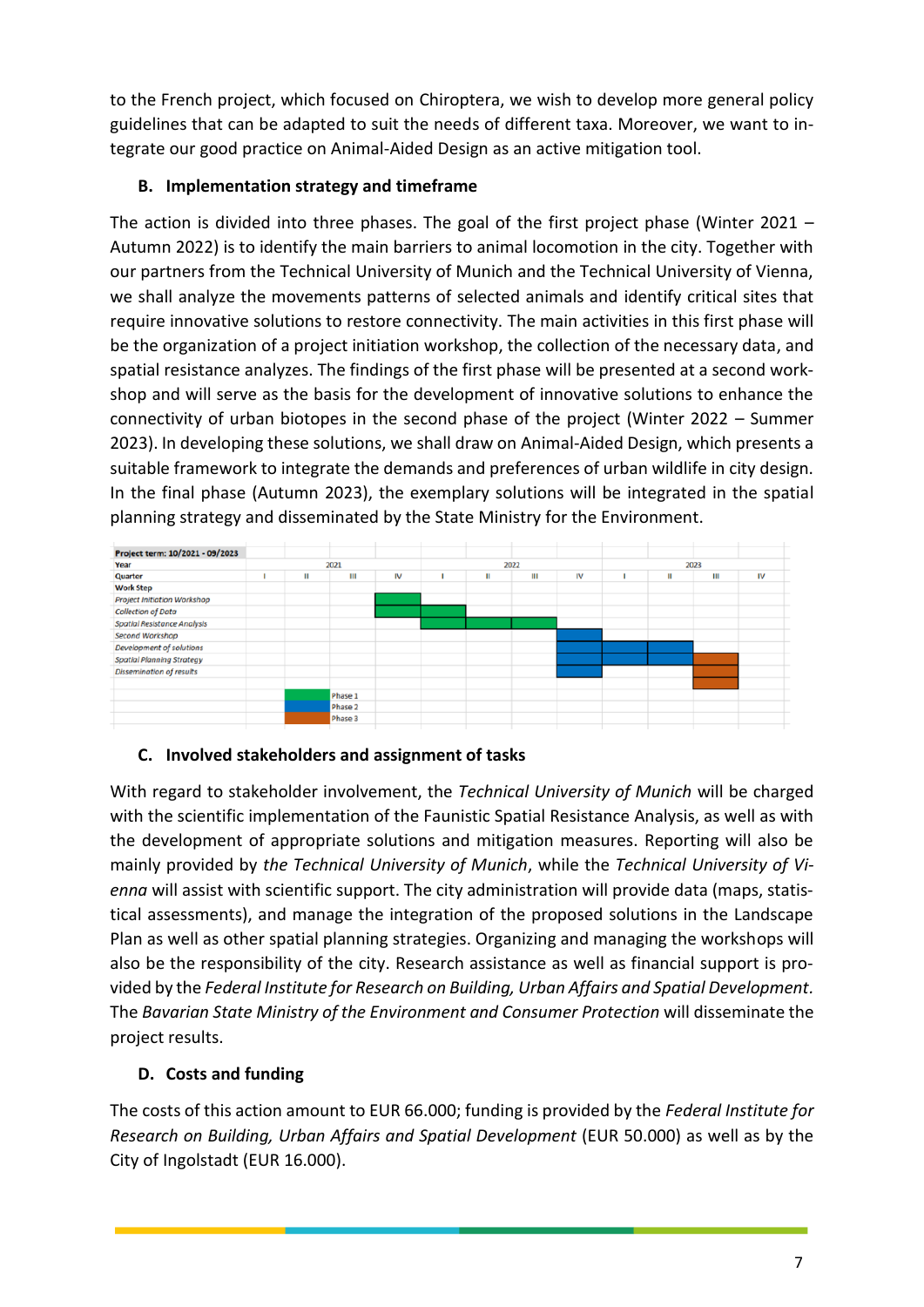to the French project, which focused on Chiroptera, we wish to develop more general policy guidelines that can be adapted to suit the needs of different taxa. Moreover, we want to integrate our good practice on Animal-Aided Design as an active mitigation tool.

#### **B. Implementation strategy and timeframe**

The action is divided into three phases. The goal of the first project phase (Winter 2021 – Autumn 2022) is to identify the main barriers to animal locomotion in the city. Together with our partners from the Technical University of Munich and the Technical University of Vienna, we shall analyze the movements patterns of selected animals and identify critical sites that require innovative solutions to restore connectivity. The main activities in this first phase will be the organization of a project initiation workshop, the collection of the necessary data, and spatial resistance analyzes. The findings of the first phase will be presented at a second workshop and will serve as the basis for the development of innovative solutions to enhance the connectivity of urban biotopes in the second phase of the project (Winter 2022 – Summer 2023). In developing these solutions, we shall draw on Animal-Aided Design, which presents a suitable framework to integrate the demands and preferences of urban wildlife in city design. In the final phase (Autumn 2023), the exemplary solutions will be integrated in the spatial planning strategy and disseminated by the State Ministry for the Environment.

| Project term: 10/2021 - 09/2023    |              |  |         |  |   |      |    |      |   |   |    |  |
|------------------------------------|--------------|--|---------|--|---|------|----|------|---|---|----|--|
| Year                               |              |  | 2021    |  |   | 2022 |    | 2023 |   |   |    |  |
| Quarter                            | IV<br>Ш<br>Ш |  |         |  | Ш | Ш    | IV |      | Ш | Ш | IV |  |
| <b>Work Step</b>                   |              |  |         |  |   |      |    |      |   |   |    |  |
| <b>Project Initiation Workshop</b> |              |  |         |  |   |      |    |      |   |   |    |  |
| <b>Collection of Data</b>          |              |  |         |  |   |      |    |      |   |   |    |  |
| <b>Spatial Resistance Analysis</b> |              |  |         |  |   |      |    |      |   |   |    |  |
| <b>Second Workshop</b>             |              |  |         |  |   |      |    |      |   |   |    |  |
| Development of solutions           |              |  |         |  |   |      |    |      |   |   |    |  |
| <b>Spatial Planning Strategy</b>   |              |  |         |  |   |      |    |      |   |   |    |  |
| <b>Dissemination of results</b>    |              |  |         |  |   |      |    |      |   |   |    |  |
|                                    |              |  |         |  |   |      |    |      |   |   |    |  |
|                                    |              |  | Phase 1 |  |   |      |    |      |   |   |    |  |
|                                    |              |  | Phase 2 |  |   |      |    |      |   |   |    |  |
|                                    |              |  | Phase 3 |  |   |      |    |      |   |   |    |  |
|                                    |              |  |         |  |   |      |    |      |   |   |    |  |

#### **C. Involved stakeholders and assignment of tasks**

With regard to stakeholder involvement, the *Technical University of Munich* will be charged with the scientific implementation of the Faunistic Spatial Resistance Analysis, as well as with the development of appropriate solutions and mitigation measures. Reporting will also be mainly provided by *the Technical University of Munich*, while the *Technical University of Vienna* will assist with scientific support. The city administration will provide data (maps, statistical assessments), and manage the integration of the proposed solutions in the Landscape Plan as well as other spatial planning strategies. Organizing and managing the workshops will also be the responsibility of the city. Research assistance as well as financial support is provided by the *Federal Institute for Research on Building, Urban Affairs and Spatial Development.* The *Bavarian State Ministry of the Environment and Consumer Protection* will disseminate the project results.

#### **D. Costs and funding**

The costs of this action amount to EUR 66.000; funding is provided by the *Federal Institute for Research on Building, Urban Affairs and Spatial Development* (EUR 50.000) as well as by the City of Ingolstadt (EUR 16.000).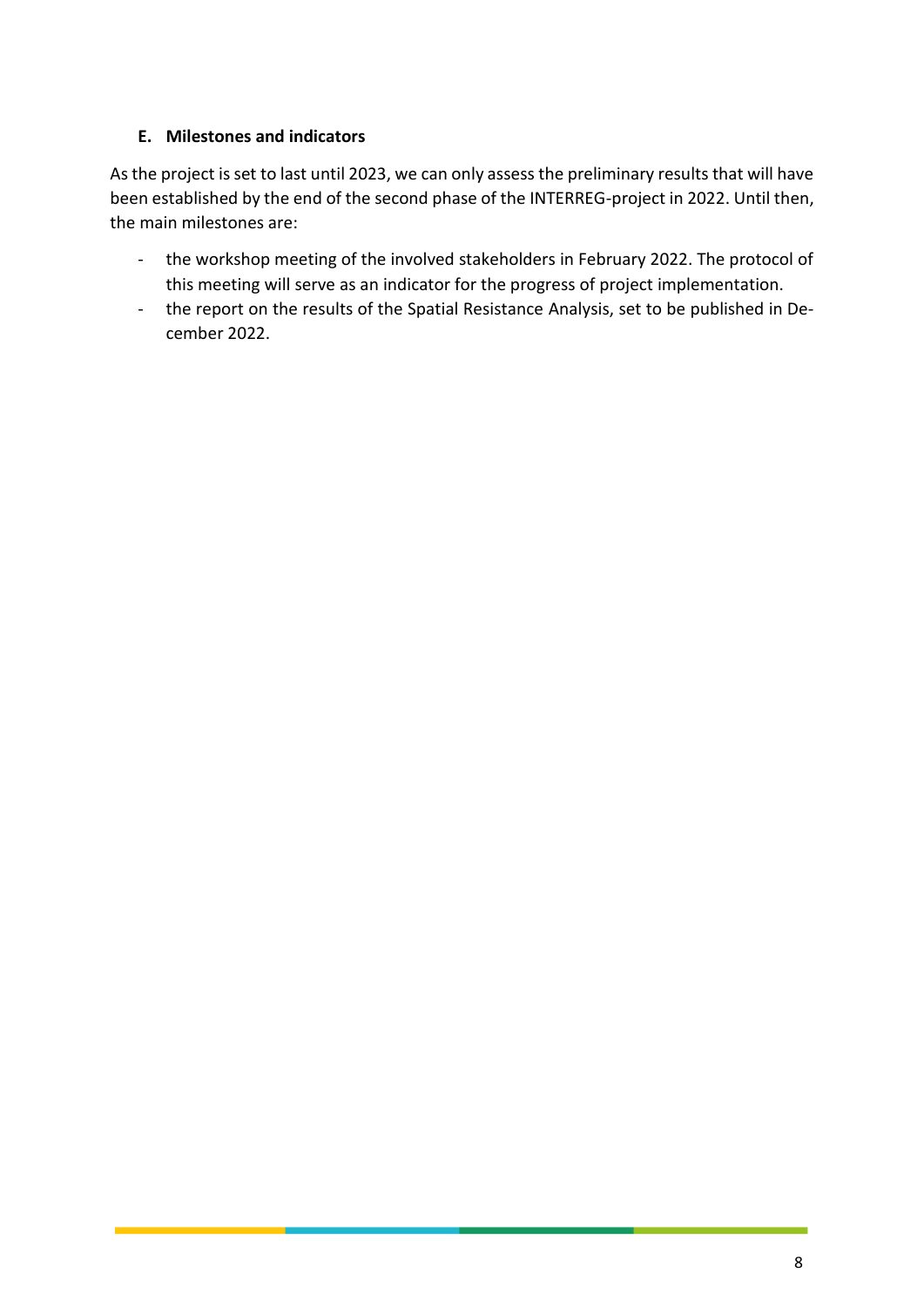#### **E. Milestones and indicators**

As the project is set to last until 2023, we can only assess the preliminary results that will have been established by the end of the second phase of the INTERREG-project in 2022. Until then, the main milestones are:

- the workshop meeting of the involved stakeholders in February 2022. The protocol of this meeting will serve as an indicator for the progress of project implementation.
- the report on the results of the Spatial Resistance Analysis, set to be published in December 2022.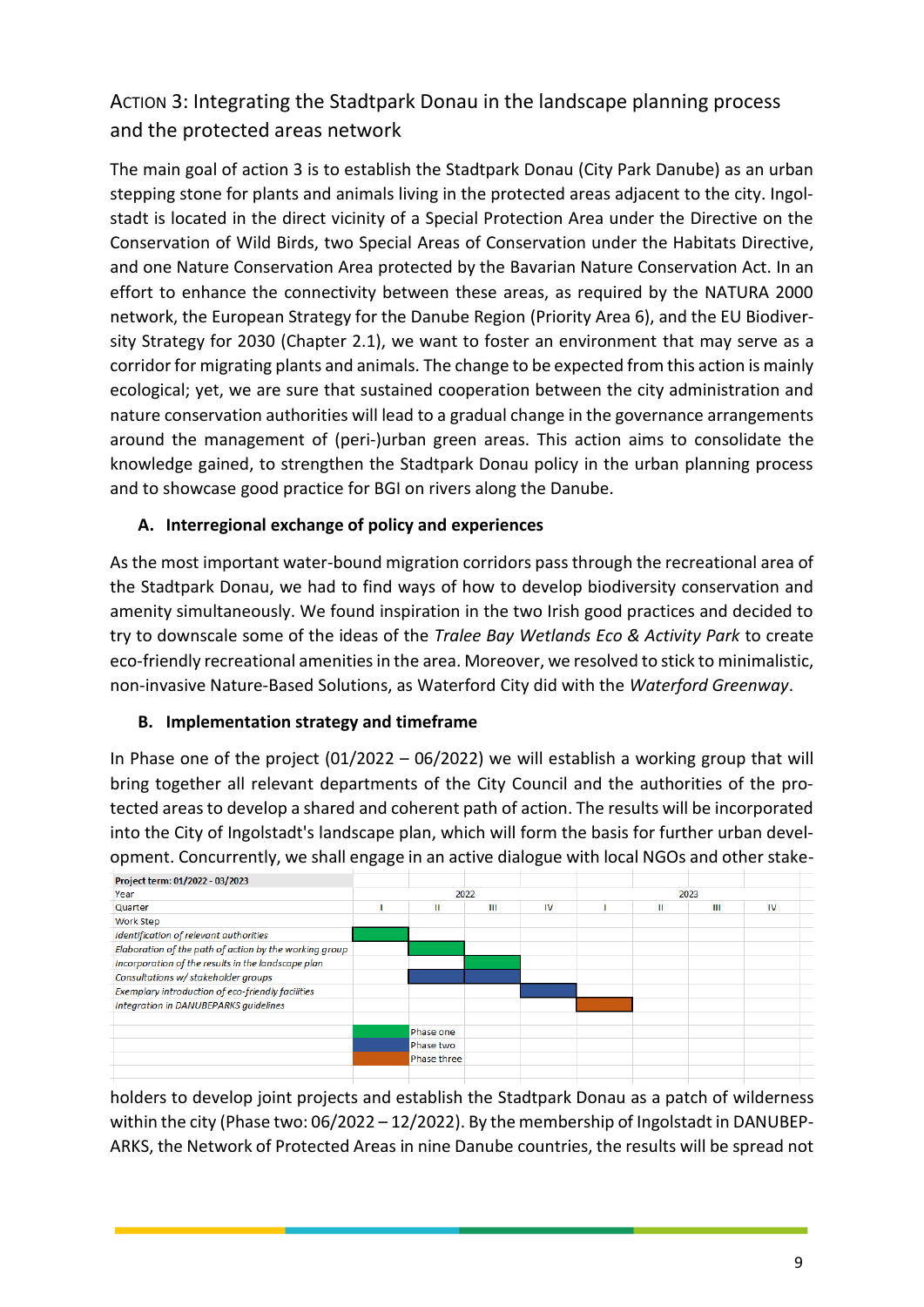## ACTION 3: Integrating the Stadtpark Donau in the landscape planning process and the protected areas network

The main goal of action 3 is to establish the Stadtpark Donau (City Park Danube) as an urban stepping stone for plants and animals living in the protected areas adjacent to the city. Ingolstadt is located in the direct vicinity of a Special Protection Area under the Directive on the Conservation of Wild Birds, two Special Areas of Conservation under the Habitats Directive, and one Nature Conservation Area protected by the Bavarian Nature Conservation Act. In an effort to enhance the connectivity between these areas, as required by the NATURA 2000 network, the European Strategy for the Danube Region (Priority Area 6), and the EU Biodiversity Strategy for 2030 (Chapter 2.1), we want to foster an environment that may serve as a corridor for migrating plants and animals. The change to be expected from this action is mainly ecological; yet, we are sure that sustained cooperation between the city administration and nature conservation authorities will lead to a gradual change in the governance arrangements around the management of (peri-)urban green areas. This action aims to consolidate the knowledge gained, to strengthen the Stadtpark Donau policy in the urban planning process and to showcase good practice for BGI on rivers along the Danube.

#### **A. Interregional exchange of policy and experiences**

As the most important water-bound migration corridors pass through the recreational area of the Stadtpark Donau, we had to find ways of how to develop biodiversity conservation and amenity simultaneously. We found inspiration in the two Irish good practices and decided to try to downscale some of the ideas of the *Tralee Bay Wetlands Eco & Activity Park* to create eco-friendly recreational amenities in the area. Moreover, we resolved to stick to minimalistic, non-invasive Nature-Based Solutions, as Waterford City did with the *Waterford Greenway*.

#### **B. Implementation strategy and timeframe**

In Phase one of the project  $(01/2022 - 06/2022)$  we will establish a working group that will bring together all relevant departments of the City Council and the authorities of the protected areas to develop a shared and coherent path of action. The results will be incorporated into the City of Ingolstadt's landscape plan, which will form the basis for further urban development. Concurrently, we shall engage in an active dialogue with local NGOs and other stake-



holders to develop joint projects and establish the Stadtpark Donau as a patch of wilderness within the city (Phase two: 06/2022 – 12/2022). By the membership of Ingolstadt in DANUBEP-ARKS, the Network of Protected Areas in nine Danube countries, the results will be spread not